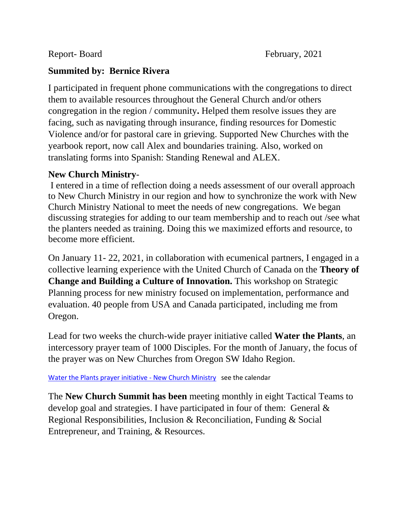## **Summited by: Bernice Rivera**

I participated in frequent phone communications with the congregations to direct them to available resources throughout the General Church and/or others congregation in the region / community**.** Helped them resolve issues they are facing, such as navigating through insurance, finding resources for Domestic Violence and/or for pastoral care in grieving. Supported New Churches with the yearbook report, now call Alex and boundaries training. Also, worked on translating forms into Spanish: Standing Renewal and ALEX.

## **New Church Ministry**-

I entered in a time of reflection doing a needs assessment of our overall approach to New Church Ministry in our region and how to synchronize the work with New Church Ministry National to meet the needs of new congregations. We began discussing strategies for adding to our team membership and to reach out /see what the planters needed as training. Doing this we maximized efforts and resource, to become more efficient.

On January 11- 22, 2021, in collaboration with ecumenical partners, I engaged in a collective learning experience with the United Church of Canada on the **Theory of Change and Building a Culture of Innovation.** This workshop on Strategic Planning process for new ministry focused on implementation, performance and evaluation. 40 people from USA and Canada participated, including me from Oregon.

Lead for two weeks the church-wide prayer initiative called **Water the Plants**, an intercessory prayer team of 1000 Disciples. For the month of January, the focus of the prayer was on New Churches from Oregon SW Idaho Region.

Water the Plants prayer initiative - New Church Ministry see the calendar

The **New Church Summit has been** meeting monthly in eight Tactical Teams to develop goal and strategies. I have participated in four of them: General & Regional Responsibilities, Inclusion & Reconciliation, Funding & Social Entrepreneur, and Training, & Resources.